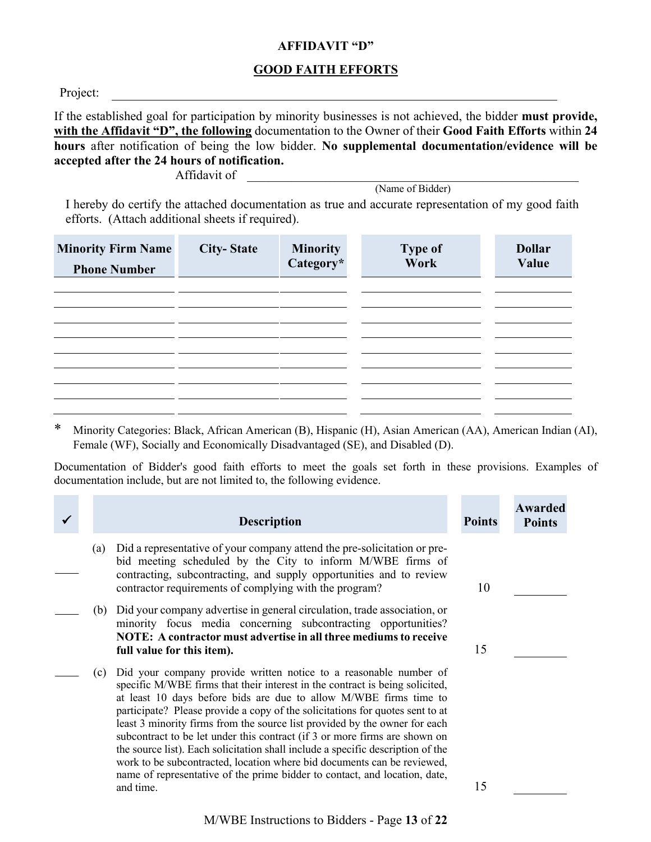#### **AFFIDAVIT "D"**

### **GOOD FAITH EFFORTS**

Project:

If the established goal for participation by minority businesses is not achieved, the bidder **must provide, with the Affidavit "D", the following** documentation to the Owner of their **Good Faith Efforts** within **24 hours** after notification of being the low bidder. **No supplemental documentation/evidence will be accepted after the 24 hours of notification.**

Affidavit of

(Name of Bidder)

I hereby do certify the attached documentation as true and accurate representation of my good faith efforts. (Attach additional sheets if required).

| <b>Minority Firm Name</b><br><b>Phone Number</b> | <b>City-State</b> | <b>Minority</b><br>Category* | <b>Type of</b><br>Work | <b>Dollar</b><br>Value |
|--------------------------------------------------|-------------------|------------------------------|------------------------|------------------------|
|                                                  |                   |                              |                        |                        |
|                                                  |                   |                              |                        |                        |
|                                                  |                   |                              |                        |                        |

\* Minority Categories: Black, African American (B), Hispanic (H), Asian American (AA), American Indian (AI), Female (WF), Socially and Economically Disadvantaged (SE), and Disabled (D).

Documentation of Bidder's good faith efforts to meet the goals set forth in these provisions. Examples of documentation include, but are not limited to, the following evidence.

|     | <b>Description</b>                                                                                                                                                                                                                                                                                                                                                                                                                                                                                                                                                                                                                                                                                                           | <b>Points</b> | <b>Awarded</b><br><b>Points</b> |
|-----|------------------------------------------------------------------------------------------------------------------------------------------------------------------------------------------------------------------------------------------------------------------------------------------------------------------------------------------------------------------------------------------------------------------------------------------------------------------------------------------------------------------------------------------------------------------------------------------------------------------------------------------------------------------------------------------------------------------------------|---------------|---------------------------------|
| (a) | Did a representative of your company attend the pre-solicitation or pre-<br>bid meeting scheduled by the City to inform M/WBE firms of<br>contracting, subcontracting, and supply opportunities and to review<br>contractor requirements of complying with the program?                                                                                                                                                                                                                                                                                                                                                                                                                                                      | 10            |                                 |
| (b) | Did your company advertise in general circulation, trade association, or<br>minority focus media concerning subcontracting opportunities?<br>NOTE: A contractor must advertise in all three mediums to receive<br>full value for this item).                                                                                                                                                                                                                                                                                                                                                                                                                                                                                 | 15            |                                 |
| (c) | Did your company provide written notice to a reasonable number of<br>specific M/WBE firms that their interest in the contract is being solicited,<br>at least 10 days before bids are due to allow M/WBE firms time to<br>participate? Please provide a copy of the solicitations for quotes sent to at<br>least 3 minority firms from the source list provided by the owner for each<br>subcontract to be let under this contract (if 3 or more firms are shown on<br>the source list). Each solicitation shall include a specific description of the<br>work to be subcontracted, location where bid documents can be reviewed,<br>name of representative of the prime bidder to contact, and location, date,<br>and time. | 15            |                                 |

M/WBE Instructions to Bidders - Page **13** of **22**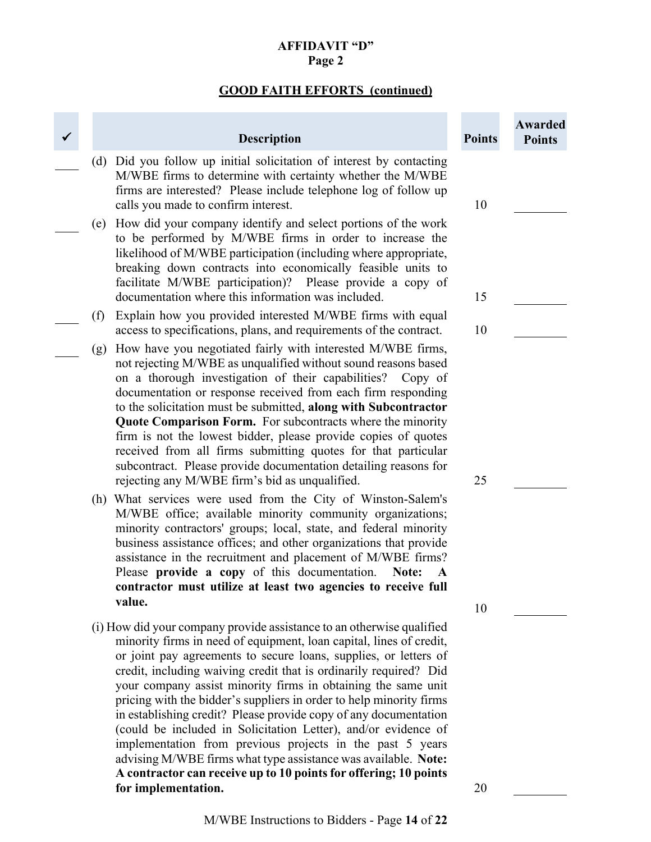### **AFFIDAVIT "D" Page 2**

# **GOOD FAITH EFFORTS (continued)**

|     | <b>Description</b>                                                                                                                                                                                                                                                                                                                                                                                                                                                                                                                                                                                                                                                                                                                                                                            | <b>Points</b> | Awarded<br><b>Points</b> |
|-----|-----------------------------------------------------------------------------------------------------------------------------------------------------------------------------------------------------------------------------------------------------------------------------------------------------------------------------------------------------------------------------------------------------------------------------------------------------------------------------------------------------------------------------------------------------------------------------------------------------------------------------------------------------------------------------------------------------------------------------------------------------------------------------------------------|---------------|--------------------------|
| (d) | Did you follow up initial solicitation of interest by contacting<br>M/WBE firms to determine with certainty whether the M/WBE<br>firms are interested? Please include telephone log of follow up<br>calls you made to confirm interest.                                                                                                                                                                                                                                                                                                                                                                                                                                                                                                                                                       | 10            |                          |
| (e) | How did your company identify and select portions of the work<br>to be performed by M/WBE firms in order to increase the<br>likelihood of M/WBE participation (including where appropriate,<br>breaking down contracts into economically feasible units to<br>facilitate M/WBE participation)? Please provide a copy of<br>documentation where this information was included.                                                                                                                                                                                                                                                                                                                                                                                                                 | 15            |                          |
| (f) | Explain how you provided interested M/WBE firms with equal                                                                                                                                                                                                                                                                                                                                                                                                                                                                                                                                                                                                                                                                                                                                    |               |                          |
| (g) | access to specifications, plans, and requirements of the contract.<br>How have you negotiated fairly with interested M/WBE firms,<br>not rejecting M/WBE as unqualified without sound reasons based<br>on a thorough investigation of their capabilities?<br>Copy of<br>documentation or response received from each firm responding<br>to the solicitation must be submitted, along with Subcontractor<br><b>Quote Comparison Form.</b> For subcontracts where the minority<br>firm is not the lowest bidder, please provide copies of quotes<br>received from all firms submitting quotes for that particular<br>subcontract. Please provide documentation detailing reasons for<br>rejecting any M/WBE firm's bid as unqualified.                                                          | 10<br>25      |                          |
|     | (h) What services were used from the City of Winston-Salem's<br>M/WBE office; available minority community organizations;<br>minority contractors' groups; local, state, and federal minority<br>business assistance offices; and other organizations that provide<br>assistance in the recruitment and placement of M/WBE firms?<br>Please provide a copy of this documentation.<br>Note:<br>contractor must utilize at least two agencies to receive full<br>value.                                                                                                                                                                                                                                                                                                                         | 10            |                          |
|     | (i) How did your company provide assistance to an otherwise qualified<br>minority firms in need of equipment, loan capital, lines of credit,<br>or joint pay agreements to secure loans, supplies, or letters of<br>credit, including waiving credit that is ordinarily required? Did<br>your company assist minority firms in obtaining the same unit<br>pricing with the bidder's suppliers in order to help minority firms<br>in establishing credit? Please provide copy of any documentation<br>(could be included in Solicitation Letter), and/or evidence of<br>implementation from previous projects in the past 5 years<br>advising M/WBE firms what type assistance was available. Note:<br>A contractor can receive up to 10 points for offering; 10 points<br>for implementation. | 20            |                          |
|     |                                                                                                                                                                                                                                                                                                                                                                                                                                                                                                                                                                                                                                                                                                                                                                                               |               |                          |